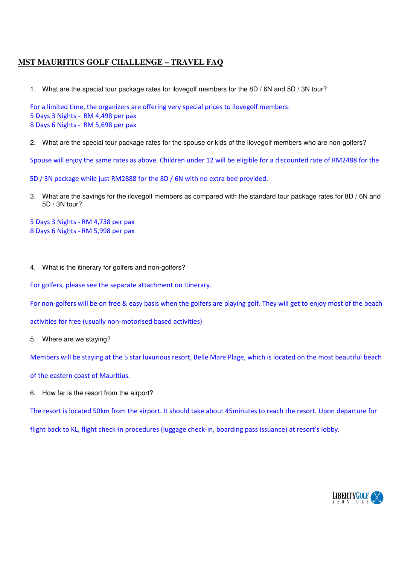## **MST MAURITIUS GOLF CHALLENGE – TRAVEL FAQ**

1. What are the special tour package rates for ilovegolf members for the 8D / 6N and 5D / 3N tour?

For a limited time, the organizers are offering very special prices to ilovegolf members: 5 Days 3 Nights - RM 4,498 per pax 8 Days 6 Nights - RM 5,698 per pax

2. What are the special tour package rates for the spouse or kids of the ilovegolf members who are non-golfers?

Spouse will enjoy the same rates as above. Children under 12 will be eligible for a discounted rate of RM2488 for the

5D / 3N package while just RM2888 for the 8D / 6N with no extra bed provided.

- 3. What are the savings for the ilovegolf members as compared with the standard tour package rates for 8D / 6N and 5D / 3N tour?
- 5 Days 3 Nights RM 4,738 per pax 8 Days 6 Nights - RM 5,998 per pax
- 4. What is the itinerary for golfers and non-golfers?

For golfers, please see the separate attachment on Itinerary.

For non-golfers will be on free & easy basis when the golfers are playing golf. They will get to enjoy most of the beach

activities for free (usually non-motorised based activities)

5. Where are we staying?

Members will be staying at the 5 star luxurious resort, Belle Mare Plage, which is located on the most beautiful beach

- of the eastern coast of Mauritius.
- 6. How far is the resort from the airport?

The resort is located 50km from the airport. It should take about 45minutes to reach the resort. Upon departure for

flight back to KL, flight check-in procedures (luggage check-in, boarding pass issuance) at resort's lobby.

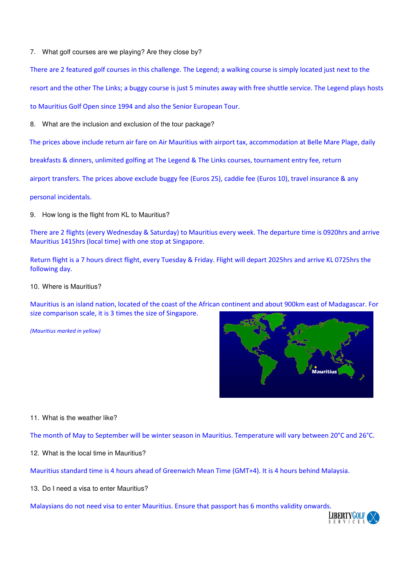7. What golf courses are we playing? Are they close by?

There are 2 featured golf courses in this challenge. The Legend; a walking course is simply located just next to the

resort and the other The Links; a buggy course is just 5 minutes away with free shuttle service. The Legend plays hosts

to Mauritius Golf Open since 1994 and also the Senior European Tour.

8. What are the inclusion and exclusion of the tour package?

The prices above include return air fare on Air Mauritius with airport tax, accommodation at Belle Mare Plage, daily

breakfasts & dinners, unlimited golfing at The Legend & The Links courses, tournament entry fee, return

airport transfers. The prices above exclude buggy fee (Euros 25), caddie fee (Euros 10), travel insurance & any

personal incidentals.

9. How long is the flight from KL to Mauritius?

There are 2 flights (every Wednesday & Saturday) to Mauritius every week. The departure time is 0920hrs and arrive Mauritius 1415hrs (local time) with one stop at Singapore.

Return flight is a 7 hours direct flight, every Tuesday & Friday. Flight will depart 2025hrs and arrive KL 0725hrs the following day.

10. Where is Mauritius?

Mauritius is an island nation, located of the coast of the African continent and about 900km east of Madagascar. For size comparison scale, it is 3 times the size of Singapore.

*(Mauritius marked in yellow)* 



## 11. What is the weather like?

The month of May to September will be winter season in Mauritius. Temperature will vary between 20°C and 26°C.

12. What is the local time in Mauritius?

Mauritius standard time is 4 hours ahead of Greenwich Mean Time (GMT+4). It is 4 hours behind Malaysia.

13. Do I need a visa to enter Mauritius?

Malaysians do not need visa to enter Mauritius. Ensure that passport has 6 months validity onwards.

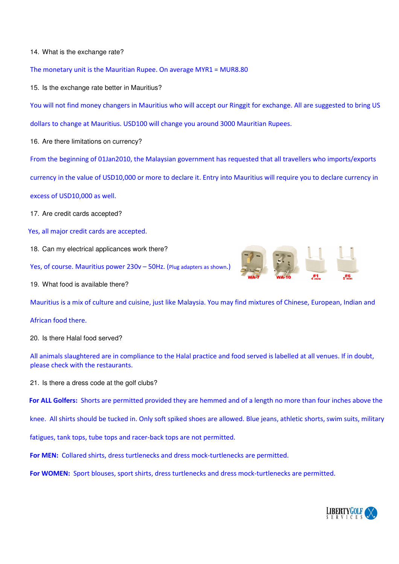## 14. What is the exchange rate?

The monetary unit is the Mauritian Rupee. On average MYR1 = MUR8.80

15. Is the exchange rate better in Mauritius?

You will not find money changers in Mauritius who will accept our Ringgit for exchange. All are suggested to bring US

dollars to change at Mauritius. USD100 will change you around 3000 Mauritian Rupees.

16. Are there limitations on currency?

From the beginning of 01Jan2010, the Malaysian government has requested that all travellers who imports/exports

currency in the value of USD10,000 or more to declare it. Entry into Mauritius will require you to declare currency in

excess of USD10,000 as well.

- 17. Are credit cards accepted?
- Yes, all major credit cards are accepted.
- 18. Can my electrical applicances work there?
- Yes, of course. Mauritius power 230v 50Hz. (Plug adapters as shown.)
- 19. What food is available there?



## African food there.

20. Is there Halal food served?

All animals slaughtered are in compliance to the Halal practice and food served is labelled at all venues. If in doubt, please check with the restaurants.

21. Is there a dress code at the golf clubs?

**For ALL Golfers:** Shorts are permitted provided they are hemmed and of a length no more than four inches above the

knee. All shirts should be tucked in. Only soft spiked shoes are allowed. Blue jeans, athletic shorts, swim suits, military

fatigues, tank tops, tube tops and racer-back tops are not permitted.

**For MEN:** Collared shirts, dress turtlenecks and dress mock-turtlenecks are permitted.

 **For WOMEN:** Sport blouses, sport shirts, dress turtlenecks and dress mock-turtlenecks are permitted.